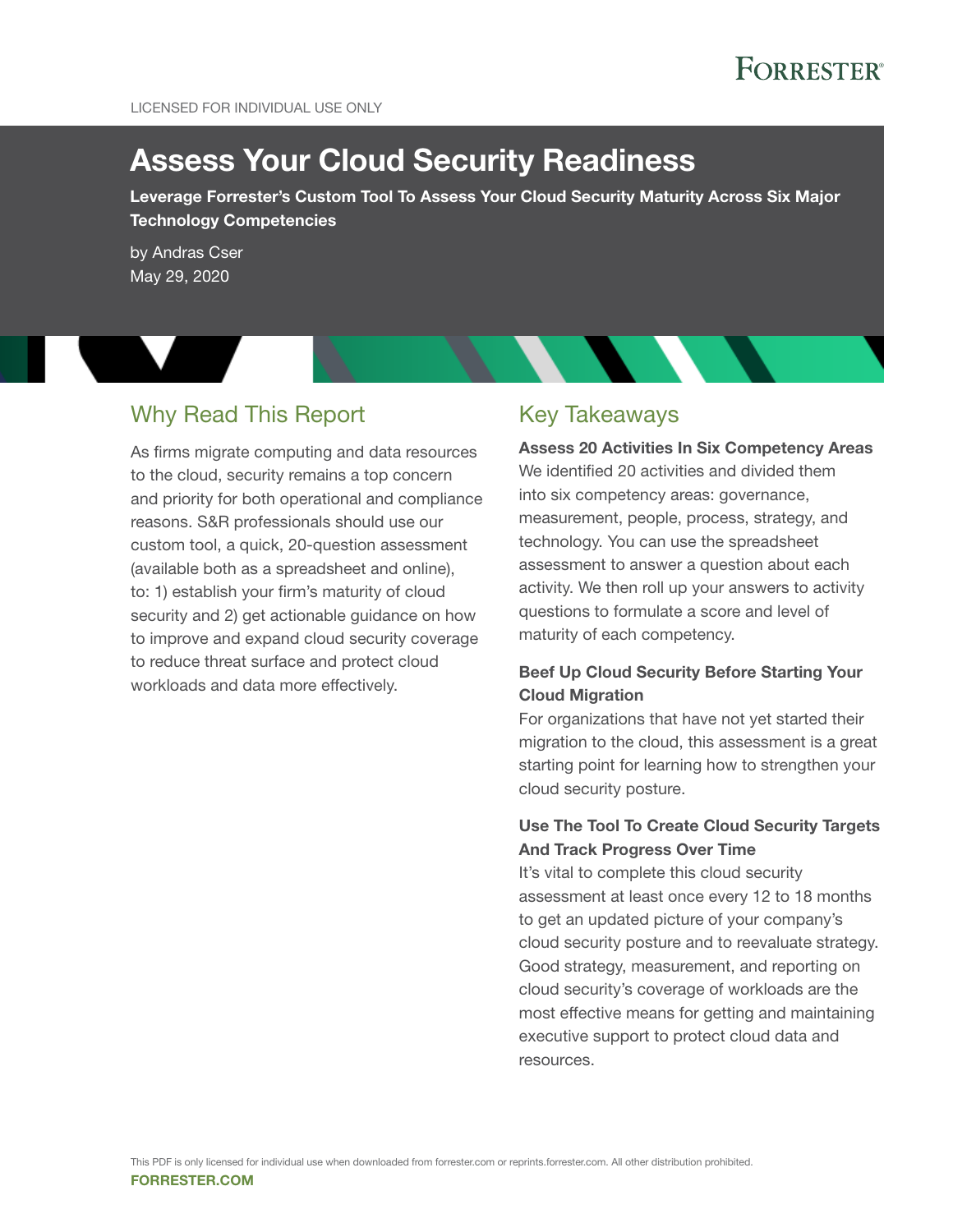# **FORRESTER**

# Assess Your Cloud Security Readiness

Leverage Forrester's Custom Tool To Assess Your Cloud Security Maturity Across Six Major Technology Competencies

by [Andras Cser](http://www.forrester.com/go?objectid=BIO1762) May 29, 2020

## Why Read This Report

As firms migrate computing and data resources to the cloud, security remains a top concern and priority for both operational and compliance reasons. S&R professionals should use our custom tool, a quick, 20-question assessment (available both as a spreadsheet and online), to: 1) establish your firm's maturity of cloud security and 2) get actionable guidance on how to improve and expand cloud security coverage to reduce threat surface and protect cloud workloads and data more effectively.

### Key Takeaways

Assess 20 Activities In Six Competency Areas We identified 20 activities and divided them into six competency areas: governance, measurement, people, process, strategy, and technology. You can use the spreadsheet assessment to answer a question about each activity. We then roll up your answers to activity questions to formulate a score and level of maturity of each competency.

### Beef Up Cloud Security Before Starting Your Cloud Migration

For organizations that have not yet started their migration to the cloud, this assessment is a great starting point for learning how to strengthen your cloud security posture.

#### Use The Tool To Create Cloud Security Targets And Track Progress Over Time

It's vital to complete this cloud security assessment at least once every 12 to 18 months to get an updated picture of your company's cloud security posture and to reevaluate strategy. Good strategy, measurement, and reporting on cloud security's coverage of workloads are the most effective means for getting and maintaining executive support to protect cloud data and resources.

forrester.com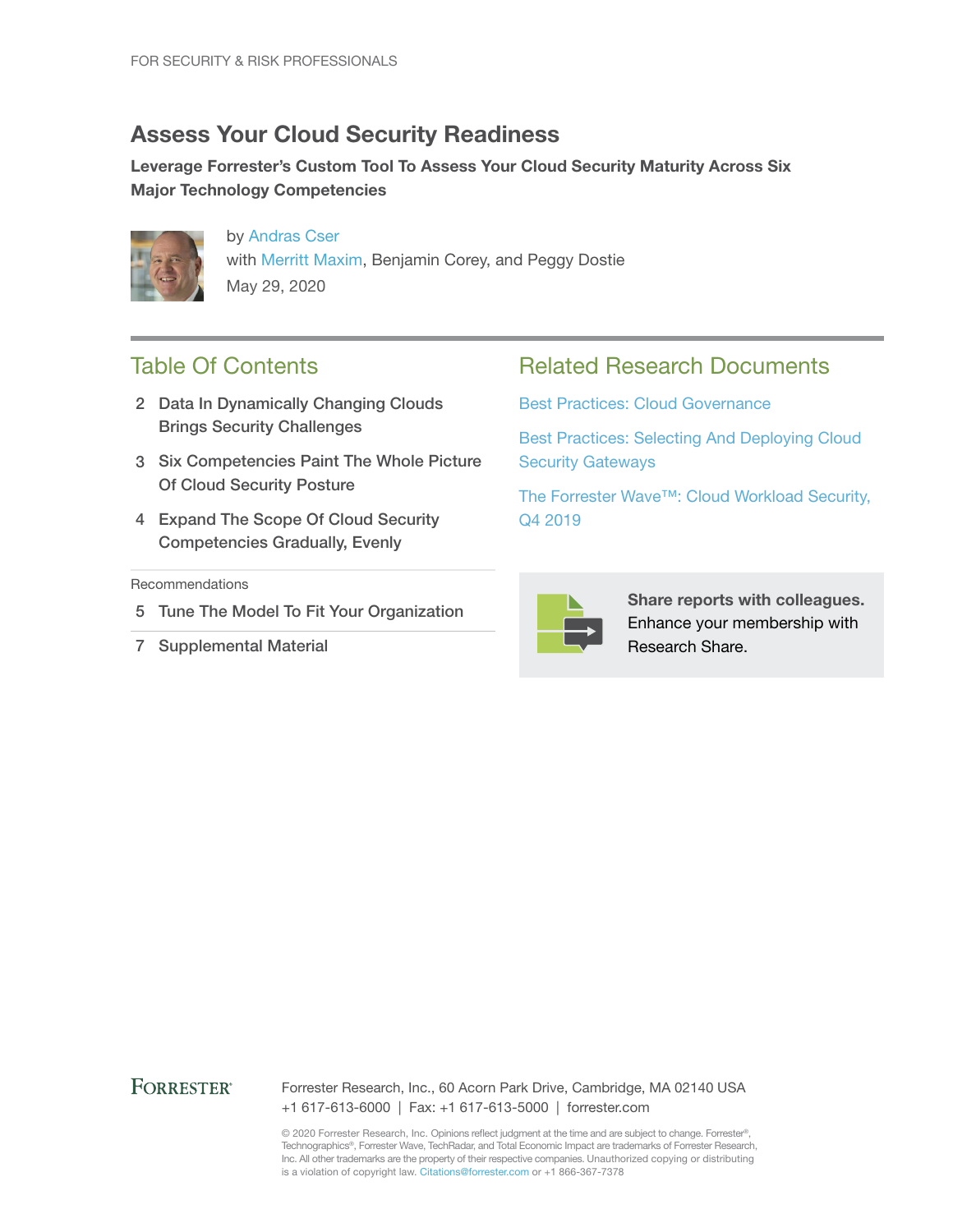## Assess Your Cloud Security Readiness

Leverage Forrester's Custom Tool To Assess Your Cloud Security Maturity Across Six Major Technology Competencies



by [Andras Cser](http://www.forrester.com/go?objectid=BIO1762) with [Merritt Maxim](http://www.forrester.com/go?objectid=BIO9125), Benjamin Corey, and Peggy Dostie May 29, 2020

## Table Of Contents

- 2 Data In Dynamically Changing Clouds Brings Security Challenges
- 3 Six Competencies Paint The Whole Picture Of Cloud Security Posture
- 4 Expand The Scope Of Cloud Security Competencies Gradually, Evenly

#### **Recommendations**

- 5 Tune The Model To Fit Your Organization
- 7 Supplemental Material

### Related Research Documents

[Best Practices: Cloud Governance](http://www.forrester.com/go?objectid=RES158301)

[Best Practices: Selecting And Deploying Cloud](http://www.forrester.com/go?objectid=RES141451)  [Security Gateways](http://www.forrester.com/go?objectid=RES141451)

[The Forrester Wave™: Cloud Workload Security,](http://www.forrester.com/go?objectid=RES146496)  [Q4 2019](http://www.forrester.com/go?objectid=RES146496)



Share reports with colleagues. Enhance your membership with Research Share.

#### **FORRESTER®**

Forrester Research, Inc., 60 Acorn Park Drive, Cambridge, MA 02140 USA +1 617-613-6000 | Fax: +1 617-613-5000 | forrester.com

© 2020 Forrester Research, Inc. Opinions reflect judgment at the time and are subject to change. Forrester®, Technographics®, Forrester Wave, TechRadar, and Total Economic Impact are trademarks of Forrester Research, Inc. All other trademarks are the property of their respective companies. Unauthorized copying or distributing is a violation of copyright law. Citations@forrester.com or +1 866-367-7378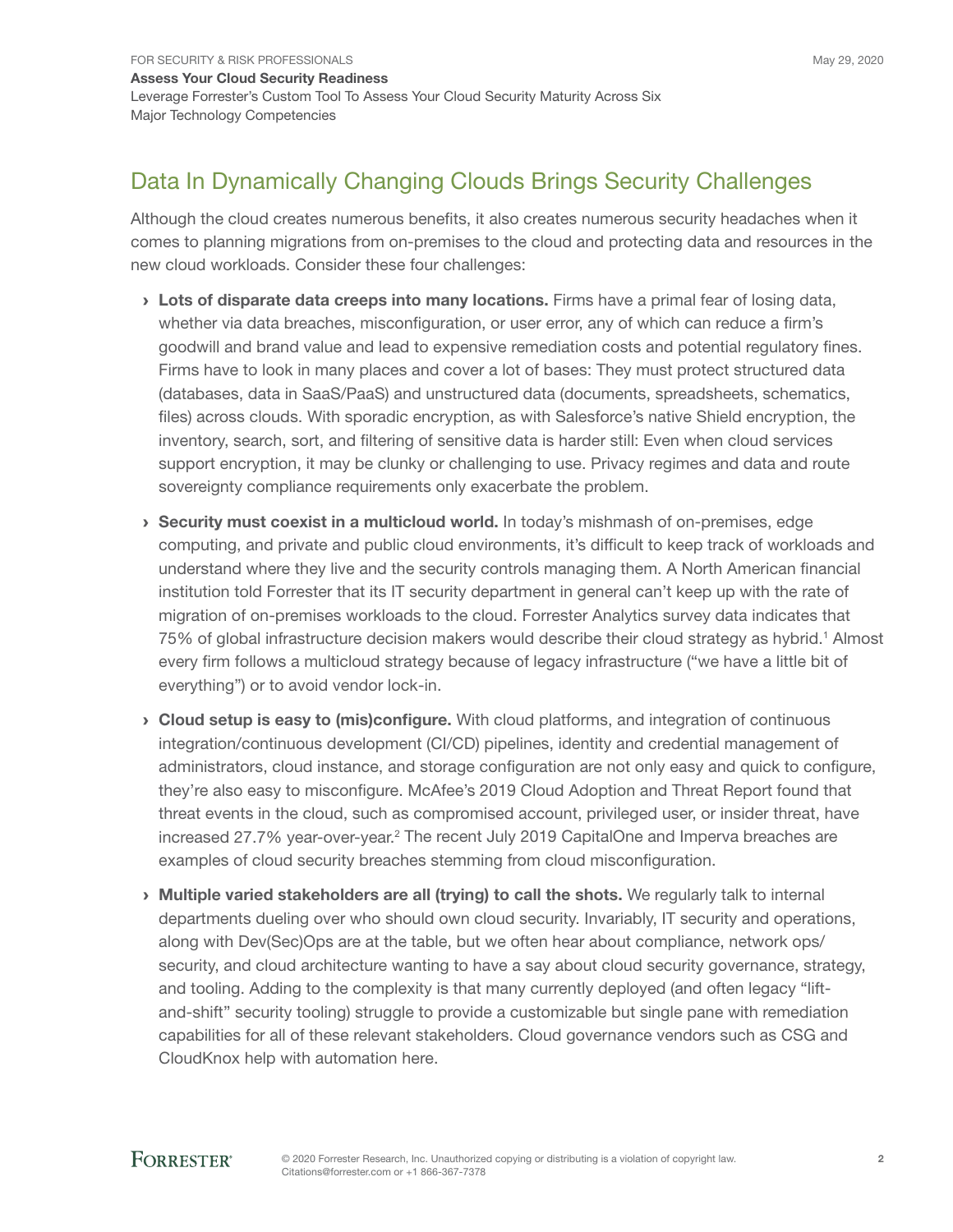# Data In Dynamically Changing Clouds Brings Security Challenges

Although the cloud creates numerous benefits, it also creates numerous security headaches when it comes to planning migrations from on-premises to the cloud and protecting data and resources in the new cloud workloads. Consider these four challenges:

- > Lots of disparate data creeps into many locations. Firms have a primal fear of losing data, whether via data breaches, misconfiguration, or user error, any of which can reduce a firm's goodwill and brand value and lead to expensive remediation costs and potential regulatory fines. Firms have to look in many places and cover a lot of bases: They must protect structured data (databases, data in SaaS/PaaS) and unstructured data (documents, spreadsheets, schematics, files) across clouds. With sporadic encryption, as with Salesforce's native Shield encryption, the inventory, search, sort, and filtering of sensitive data is harder still: Even when cloud services support encryption, it may be clunky or challenging to use. Privacy regimes and data and route sovereignty compliance requirements only exacerbate the problem.
- › Security must coexist in a multicloud world. In today's mishmash of on-premises, edge computing, and private and public cloud environments, it's difficult to keep track of workloads and understand where they live and the security controls managing them. A North American financial institution told Forrester that its IT security department in general can't keep up with the rate of migration of on-premises workloads to the cloud. Forrester Analytics survey data indicates that 75% of global infrastructure decision makers would describe their cloud strategy as hybrid.<sup>1</sup> Almost every firm follows a multicloud strategy because of legacy infrastructure ("we have a little bit of everything") or to avoid vendor lock-in.
- › Cloud setup is easy to (mis)configure. With cloud platforms, and integration of continuous integration/continuous development (CI/CD) pipelines, identity and credential management of administrators, cloud instance, and storage configuration are not only easy and quick to configure, they're also easy to misconfigure. McAfee's 2019 Cloud Adoption and Threat Report found that threat events in the cloud, such as compromised account, privileged user, or insider threat, have increased 27.7% year-over-year.<sup>2</sup> The recent July 2019 CapitalOne and Imperva breaches are examples of cloud security breaches stemming from cloud misconfiguration.
- › Multiple varied stakeholders are all (trying) to call the shots. We regularly talk to internal departments dueling over who should own cloud security. Invariably, IT security and operations, along with Dev(Sec)Ops are at the table, but we often hear about compliance, network ops/ security, and cloud architecture wanting to have a say about cloud security governance, strategy, and tooling. Adding to the complexity is that many currently deployed (and often legacy "liftand-shift" security tooling) struggle to provide a customizable but single pane with remediation capabilities for all of these relevant stakeholders. Cloud governance vendors such as CSG and CloudKnox help with automation here.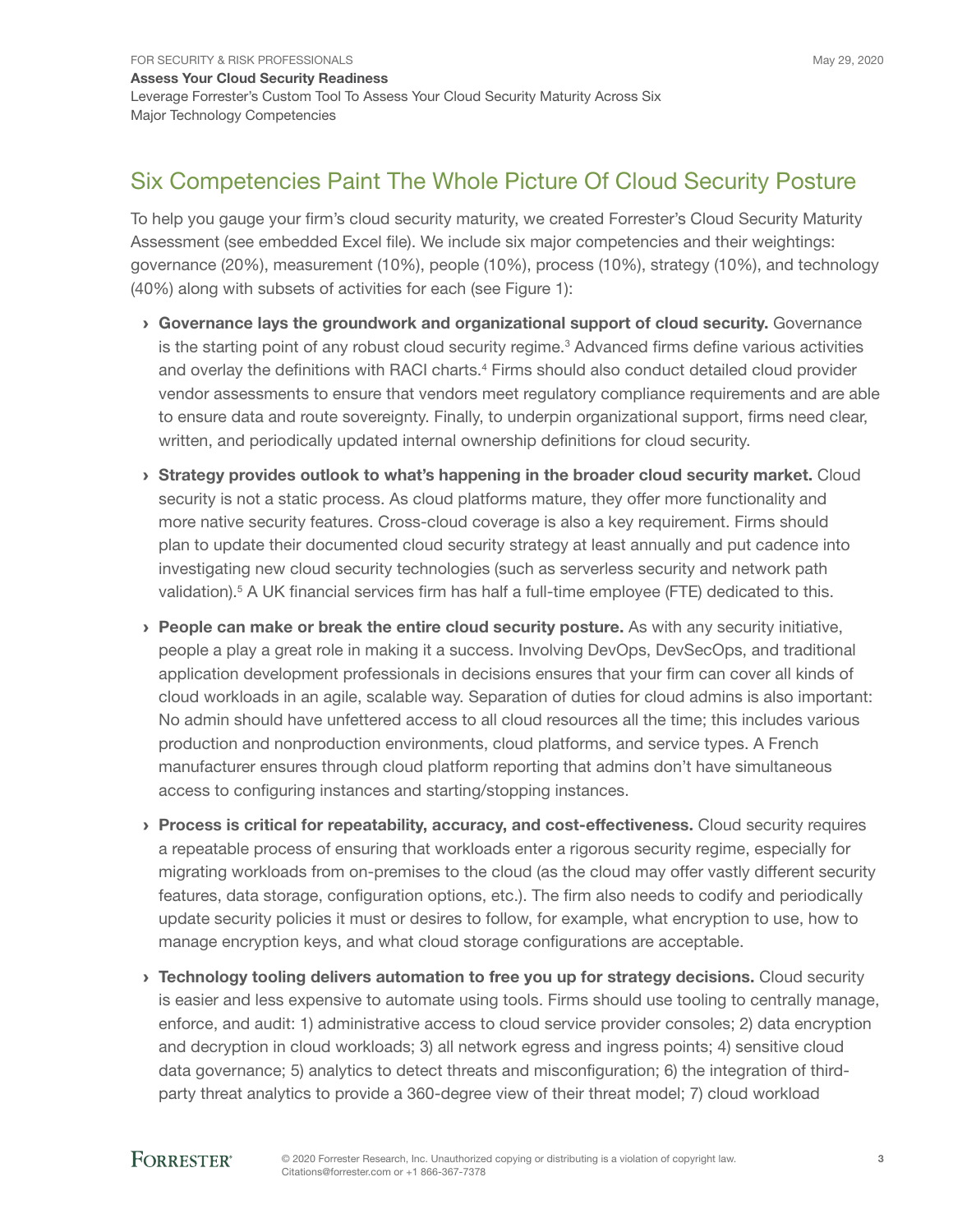## Six Competencies Paint The Whole Picture Of Cloud Security Posture

To help you gauge your firm's cloud security maturity, we created Forrester's Cloud Security Maturity Assessment (see embedded Excel file). We include six major competencies and their weightings: governance (20%), measurement (10%), people (10%), process (10%), strategy (10%), and technology (40%) along with subsets of activities for each (see Figure 1):

- › Governance lays the groundwork and organizational support of cloud security. Governance is the starting point of any robust cloud security regime.<sup>3</sup> Advanced firms define various activities and overlay the definitions with RACI charts.<sup>4</sup> Firms should also conduct detailed cloud provider vendor assessments to ensure that vendors meet regulatory compliance requirements and are able to ensure data and route sovereignty. Finally, to underpin organizational support, firms need clear, written, and periodically updated internal ownership definitions for cloud security.
- › Strategy provides outlook to what's happening in the broader cloud security market. Cloud security is not a static process. As cloud platforms mature, they offer more functionality and more native security features. Cross-cloud coverage is also a key requirement. Firms should plan to update their documented cloud security strategy at least annually and put cadence into investigating new cloud security technologies (such as serverless security and network path validation).<sup>5</sup> A UK financial services firm has half a full-time employee (FTE) dedicated to this.
- › People can make or break the entire cloud security posture. As with any security initiative, people a play a great role in making it a success. Involving DevOps, DevSecOps, and traditional application development professionals in decisions ensures that your firm can cover all kinds of cloud workloads in an agile, scalable way. Separation of duties for cloud admins is also important: No admin should have unfettered access to all cloud resources all the time; this includes various production and nonproduction environments, cloud platforms, and service types. A French manufacturer ensures through cloud platform reporting that admins don't have simultaneous access to configuring instances and starting/stopping instances.
- › Process is critical for repeatability, accuracy, and cost-effectiveness. Cloud security requires a repeatable process of ensuring that workloads enter a rigorous security regime, especially for migrating workloads from on-premises to the cloud (as the cloud may offer vastly different security features, data storage, configuration options, etc.). The firm also needs to codify and periodically update security policies it must or desires to follow, for example, what encryption to use, how to manage encryption keys, and what cloud storage configurations are acceptable.
- › Technology tooling delivers automation to free you up for strategy decisions. Cloud security is easier and less expensive to automate using tools. Firms should use tooling to centrally manage, enforce, and audit: 1) administrative access to cloud service provider consoles; 2) data encryption and decryption in cloud workloads; 3) all network egress and ingress points; 4) sensitive cloud data governance; 5) analytics to detect threats and misconfiguration; 6) the integration of thirdparty threat analytics to provide a 360-degree view of their threat model; 7) cloud workload

### **FORRESTER®**

3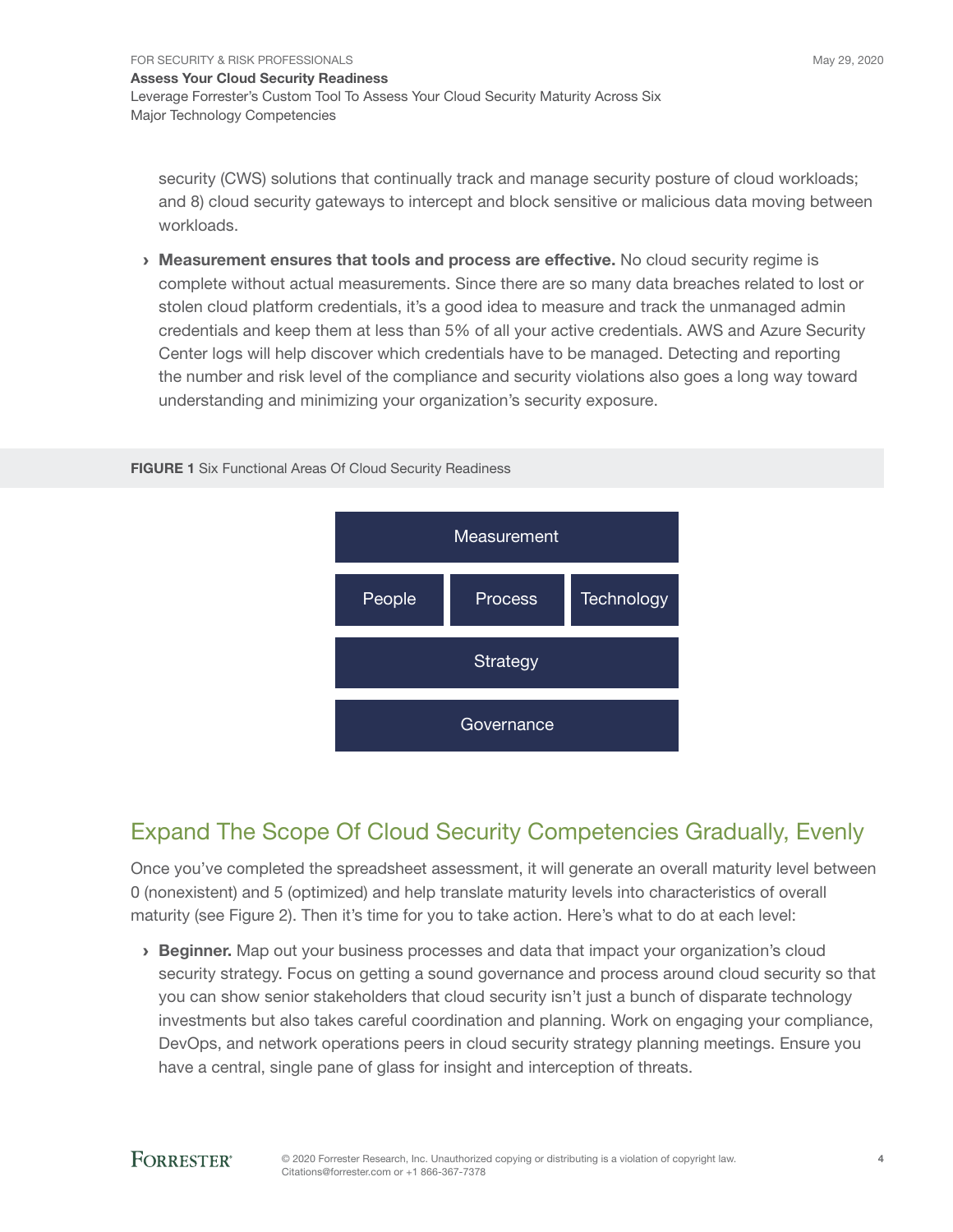security (CWS) solutions that continually track and manage security posture of cloud workloads; and 8) cloud security gateways to intercept and block sensitive or malicious data moving between workloads.

› Measurement ensures that tools and process are effective. No cloud security regime is complete without actual measurements. Since there are so many data breaches related to lost or stolen cloud platform credentials, it's a good idea to measure and track the unmanaged admin credentials and keep them at less than 5% of all your active credentials. AWS and Azure Security Center logs will help discover which credentials have to be managed. Detecting and reporting the number and risk level of the compliance and security violations also goes a long way toward understanding and minimizing your organization's security exposure.

#### FIGURE 1 Six Functional Areas Of Cloud Security Readiness



# Expand The Scope Of Cloud Security Competencies Gradually, Evenly

Once you've completed the spreadsheet assessment, it will generate an overall maturity level between 0 (nonexistent) and 5 (optimized) and help translate maturity levels into characteristics of overall maturity (see Figure 2). Then it's time for you to take action. Here's what to do at each level:

› Beginner. Map out your business processes and data that impact your organization's cloud security strategy. Focus on getting a sound governance and process around cloud security so that you can show senior stakeholders that cloud security isn't just a bunch of disparate technology investments but also takes careful coordination and planning. Work on engaging your compliance, DevOps, and network operations peers in cloud security strategy planning meetings. Ensure you have a central, single pane of glass for insight and interception of threats.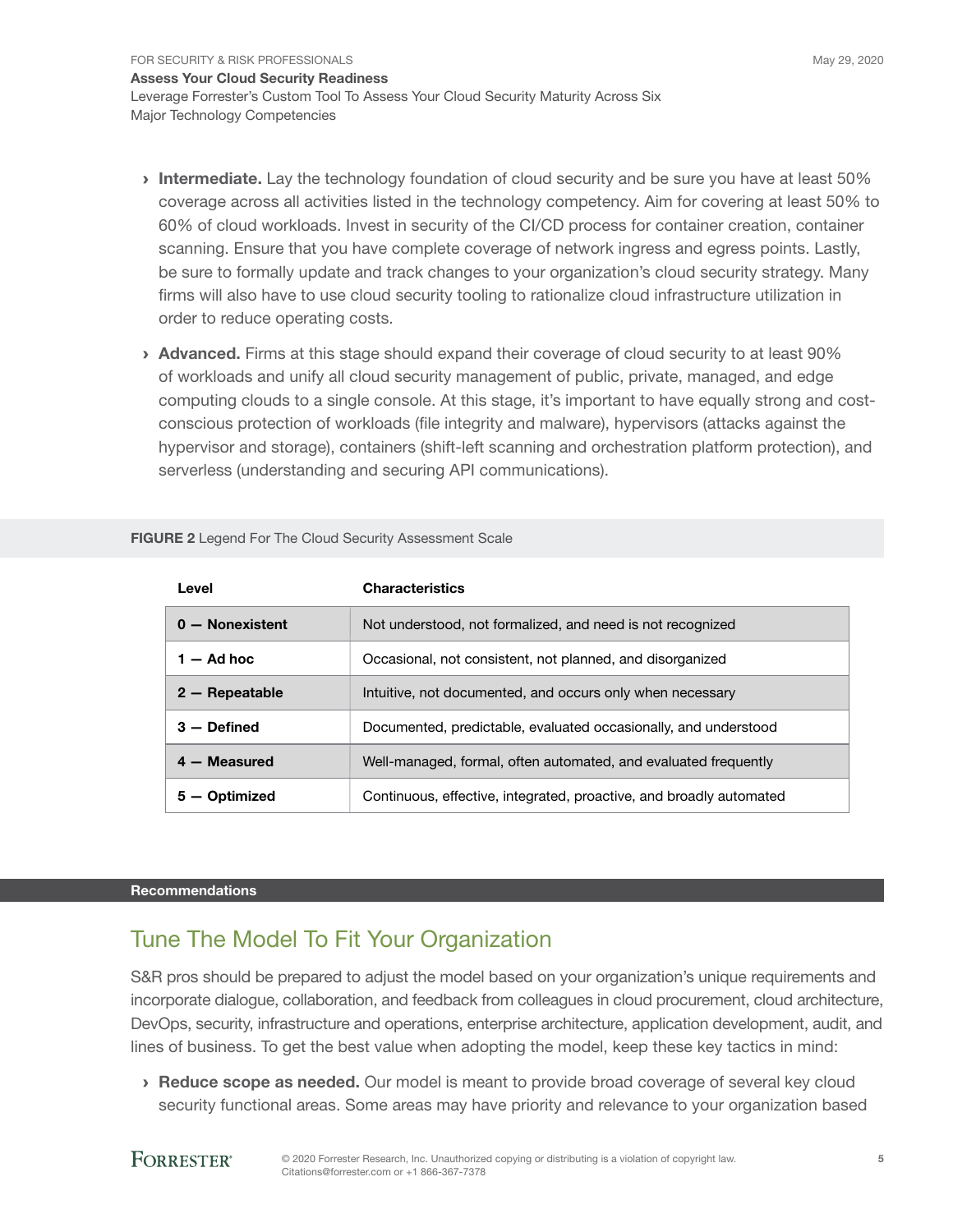- **Intermediate.** Lay the technology foundation of cloud security and be sure you have at least 50% coverage across all activities listed in the technology competency. Aim for covering at least 50% to 60% of cloud workloads. Invest in security of the CI/CD process for container creation, container scanning. Ensure that you have complete coverage of network ingress and egress points. Lastly, be sure to formally update and track changes to your organization's cloud security strategy. Many firms will also have to use cloud security tooling to rationalize cloud infrastructure utilization in order to reduce operating costs.
- › Advanced. Firms at this stage should expand their coverage of cloud security to at least 90% of workloads and unify all cloud security management of public, private, managed, and edge computing clouds to a single console. At this stage, it's important to have equally strong and costconscious protection of workloads (file integrity and malware), hypervisors (attacks against the hypervisor and storage), containers (shift-left scanning and orchestration platform protection), and serverless (understanding and securing API communications).

| Level             | <b>Characteristics</b>                                              |
|-------------------|---------------------------------------------------------------------|
| $0 -$ Nonexistent | Not understood, not formalized, and need is not recognized          |
| $1 - Ad$ hoc      | Occasional, not consistent, not planned, and disorganized           |
| $2 -$ Repeatable  | Intuitive, not documented, and occurs only when necessary           |
| $3 -$ Defined     | Documented, predictable, evaluated occasionally, and understood     |
| $4 - Measured$    | Well-managed, formal, often automated, and evaluated frequently     |
| – Optimized<br>5. | Continuous, effective, integrated, proactive, and broadly automated |

FIGURE 2 Legend For The Cloud Security Assessment Scale

#### Recommendations

## Tune The Model To Fit Your Organization

S&R pros should be prepared to adjust the model based on your organization's unique requirements and incorporate dialogue, collaboration, and feedback from colleagues in cloud procurement, cloud architecture, DevOps, security, infrastructure and operations, enterprise architecture, application development, audit, and lines of business. To get the best value when adopting the model, keep these key tactics in mind:

› Reduce scope as needed. Our model is meant to provide broad coverage of several key cloud security functional areas. Some areas may have priority and relevance to your organization based

### **FORRESTER®**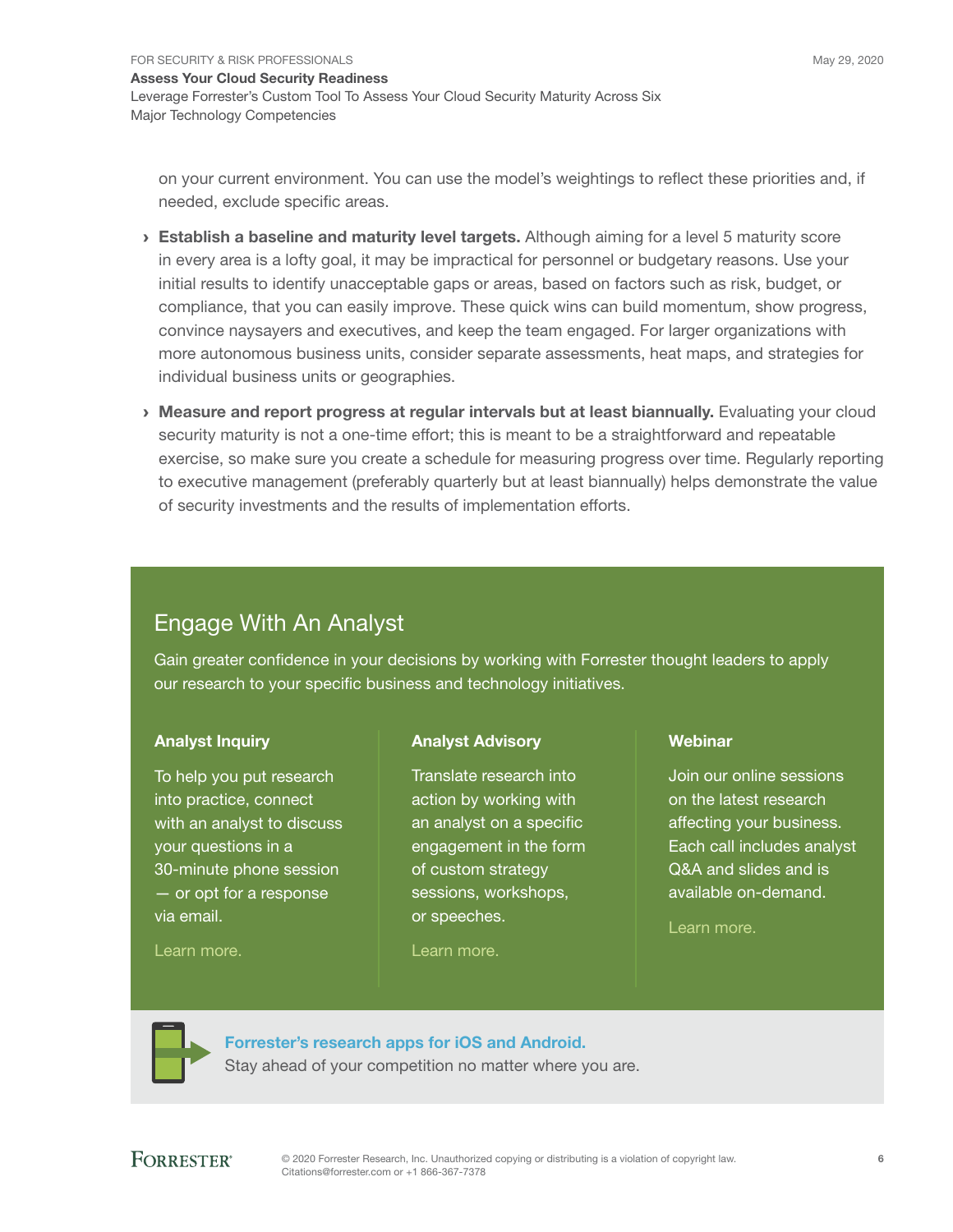on your current environment. You can use the model's weightings to reflect these priorities and, if needed, exclude specific areas.

- $\rightarrow$  Establish a baseline and maturity level targets. Although aiming for a level 5 maturity score in every area is a lofty goal, it may be impractical for personnel or budgetary reasons. Use your initial results to identify unacceptable gaps or areas, based on factors such as risk, budget, or compliance, that you can easily improve. These quick wins can build momentum, show progress, convince naysayers and executives, and keep the team engaged. For larger organizations with more autonomous business units, consider separate assessments, heat maps, and strategies for individual business units or geographies.
- › Measure and report progress at regular intervals but at least biannually. Evaluating your cloud security maturity is not a one-time effort; this is meant to be a straightforward and repeatable exercise, so make sure you create a schedule for measuring progress over time. Regularly reporting to executive management (preferably quarterly but at least biannually) helps demonstrate the value of security investments and the results of implementation efforts.

# Engage With An Analyst

Gain greater confidence in your decisions by working with Forrester thought leaders to apply our research to your specific business and technology initiatives.

### Analyst Inquiry

To help you put research into practice, connect with an analyst to discuss your questions in a 30-minute phone session — or opt for a response via email.

[Learn more.](http://forr.com/1einFan)

### Analyst Advisory

Translate research into action by working with an analyst on a specific engagement in the form of custom strategy sessions, workshops, or speeches.

[Learn more.](http://www.forrester.com/Analyst-Advisory/-/E-MPL172)

#### Webinar

Join our online sessions on the latest research affecting your business. Each call includes analyst Q&A and slides and is available on-demand.

[Learn more](https://www.forrester.com/events?N=10006+5025).



[Forrester's research apps for iOS and Android.](http://www.forrester.com/app) Stay ahead of your competition no matter where you are.

### **FORRESTER®**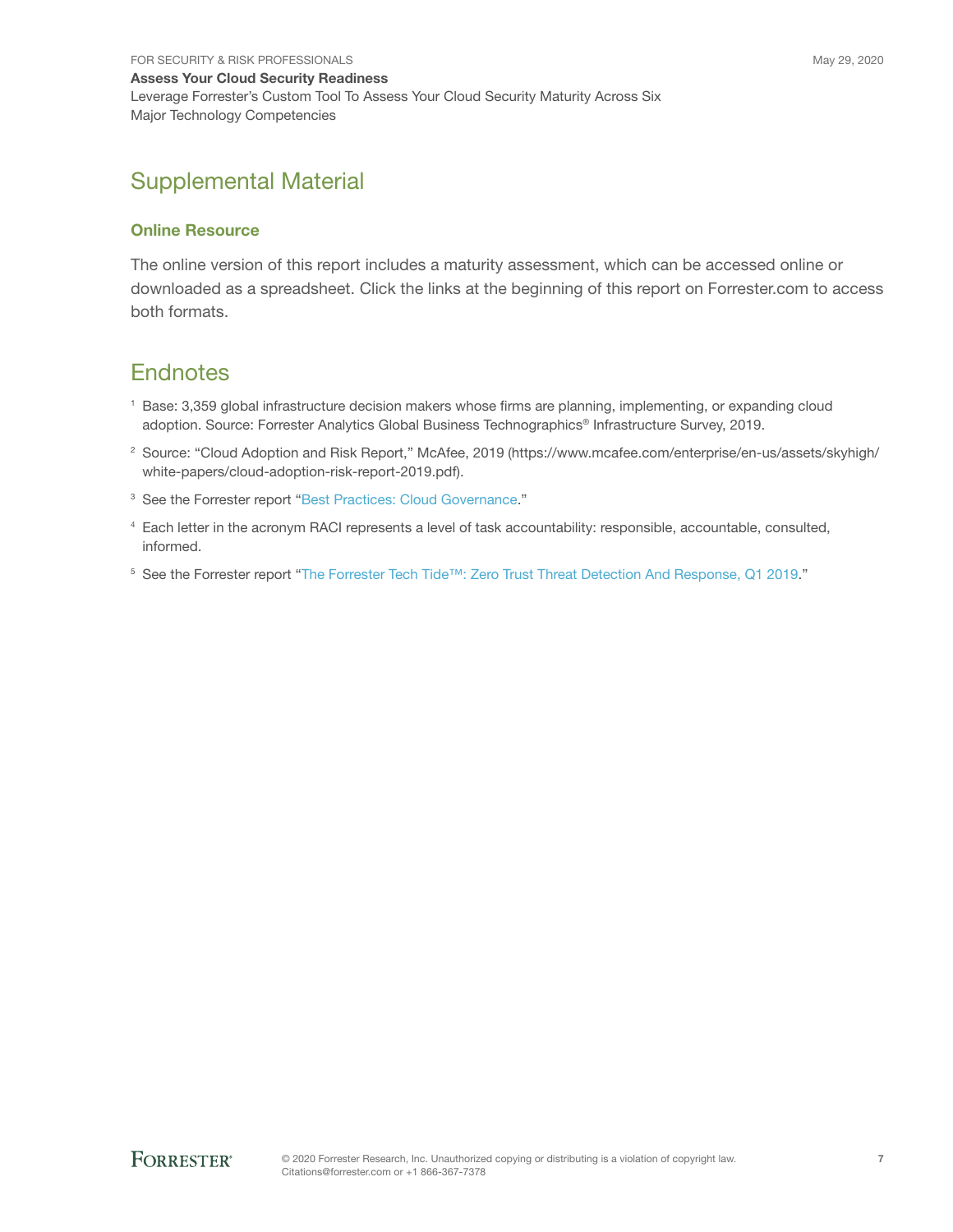## Supplemental Material

#### Online Resource

The online version of this report includes a maturity assessment, which can be accessed online or downloaded as a spreadsheet. Click the links at the beginning of this report on Forrester.com to access both formats.

### **Endnotes**

- <sup>1</sup> Base: 3,359 global infrastructure decision makers whose firms are planning, implementing, or expanding cloud adoption. Source: Forrester Analytics Global Business Technographics® Infrastructure Survey, 2019.
- 2 Source: "Cloud Adoption and Risk Report," McAfee, 2019 (https://www.mcafee.com/enterprise/en-us/assets/skyhigh/ white-papers/cloud-adoption-risk-report-2019.pdf).
- <sup>3</sup> See the Forrester report "[Best Practices: Cloud Governance.](http://www.forrester.com/go?objectid=RES158301)"
- 4 Each letter in the acronym RACI represents a level of task accountability: responsible, accountable, consulted, informed.
- 5 See the Forrester report "[The Forrester Tech Tide™: Zero Trust Threat Detection And Response, Q1 2019](http://www.forrester.com/go?objectid=RES142217)."